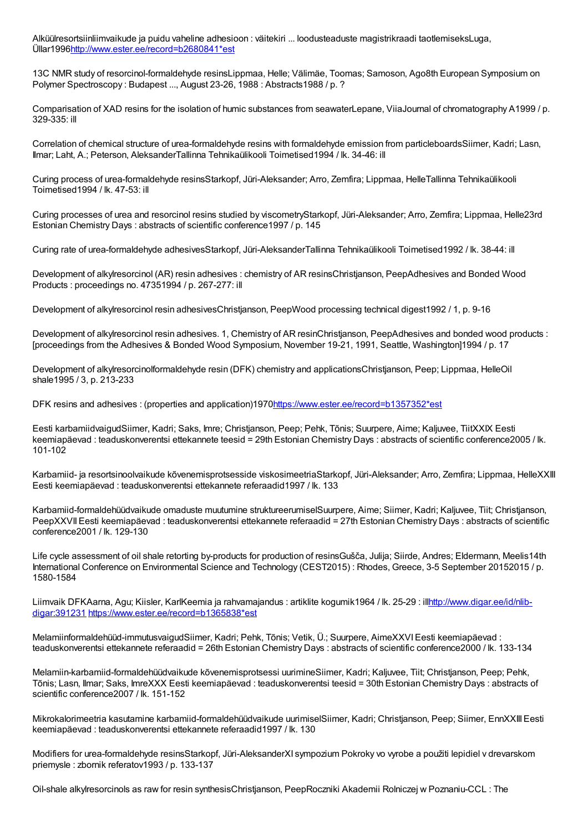Alküülresortsiinliimvaikude ja puidu vaheline adhesioon : väitekiri ... loodusteaduste magistrikraadi taotlemiseksLuga, Üllar199[6http://www.ester.ee/record=b2680841\\*est](http://www.ester.ee/record=b2680841*est)

13C NMR study of resorcinol-formaldehyde resinsLippmaa, Helle; Välimäe, Toomas; Samoson, Ago8th European Symposium on Polymer Spectroscopy : Budapest ..., August 23-26, 1988 : Abstracts 1988 / p. ?

Comparisation of XAD resins for the isolation of humic substances from seawaterLepane, ViiaJournal of chromatography A1999 / p. 329-335: ill

Correlation of chemical structure of urea-formaldehyde resins with formaldehyde emission from particleboardsSiimer, Kadri; Lasn, Ilmar; Laht, A.; Peterson, AleksanderTallinna Tehnikaülikooli Toimetised1994 / lk. 34-46: ill

Curing process of urea-formaldehyde resinsStarkopf, Jüri-Aleksander; Arro, Zemfira; Lippmaa, HelleTallinna Tehnikaülikooli Toimetised1994 / lk. 47-53: ill

Curing processes of urea and resorcinol resins studied by viscometryStarkopf, Jüri-Aleksander; Arro, Zemfira; Lippmaa, Helle23rd Estonian Chemistry Days : abstracts of scientific conference1997 / p. 145

Curing rate of urea-formaldehyde adhesivesStarkopf, Jüri-AleksanderTallinna Tehnikaülikooli Toimetised1992 / lk. 38-44: ill

Development of alkylresorcinol (AR) resin adhesives : chemistry of AR resinsChristjanson, PeepAdhesives and Bonded Wood Products : proceedings no. 47351994 / p. 267-277: ill

Development of alkylresorcinol resin adhesivesChristjanson, PeepWood processing technical digest1992 / 1, p. 9-16

Development of alkylresorcinol resin adhesives. 1, Chemistry of AR resinChristjanson, PeepAdhesives and bonded wood products : [proceedings from the Adhesives & Bonded Wood Symposium, November 19-21, 1991, Seattle, Washington]1994 / p. 17

Development of alkylresorcinolformaldehyde resin (DFK) chemistry and applicationsChristjanson, Peep; Lippmaa, HelleOil shale1995 / 3, p. 213-233

DFK resins and adhesives : (properties and application)197[0https://www.ester.ee/record=b1357352\\*est](https://www.ester.ee/record=b1357352*est)

Eesti karbamiidvaigudSiimer, Kadri; Saks, Imre; Christjanson, Peep; Pehk, Tõnis; Suurpere, Aime; Kaljuvee, TiitXXIX Eesti keemiapäevad : teaduskonverentsi ettekannete teesid = 29th Estonian Chemistry Days : abstracts of scientific conference2005 / lk.  $101 - 102$ 

Karbamiid- ja resortsinoolvaikude kõvenemisprotsesside viskosimeetriaStarkopf, Jüri-Aleksander; Arro, Zemfira; Lippmaa, HelleXXIII Eesti keemiapäevad : teaduskonverentsi ettekannete referaadid1997 / lk. 133

Karbamiid-formaldehüüdvaikude omaduste muutumine struktureerumiselSuurpere, Aime; Siimer, Kadri; Kaljuvee, Tiit; Christjanson, PeepXXVIIEesti keemiapäevad : teaduskonverentsi ettekannete referaadid = 27th Estonian Chemistry Days : abstracts of scientific conference2001 / lk. 129-130

Life cycle assessment of oil shale retorting by-products for production of resinsGušča, Julija; Siirde, Andres; Eldermann, Meelis14th International Conference on Environmental Science and Technology (CEST2015) : Rhodes, Greece, 3-5 September 20152015 / p. 1580-1584

Liimvaik DFKAarna, Agu; Kiisler, KarlKeemia ja rahvamajandus : artiklite kogumik1964 / lk. 25-29 : illhttp://www.digar.ee/id/nlibdigar:391231 [https://www.ester.ee/record=b1365838\\*est](http://www.digar.ee/id/nlib-digar:391231)

Melamiinformaldehüüd-immutusvaigudSiimer, Kadri; Pehk, Tõnis; Vetik, Ü.; Suurpere, AimeXXVIEesti keemiapäevad : teaduskonverentsi ettekannete referaadid = 26th Estonian Chemistry Days : abstracts of scientific conference2000 / lk. 133-134

Melamiin-karbamiid-formaldehüüdvaikude kõvenemisprotsessi uurimineSiimer, Kadri; Kaljuvee, Tiit; Christjanson, Peep; Pehk, Tõnis; Lasn, Ilmar; Saks, ImreXXX Eesti keemiapäevad : teaduskonverentsi teesid = 30th Estonian Chemistry Days : abstracts of scientific conference2007 / lk. 151-152

Mikrokalorimeetria kasutamine karbamiid-formaldehüüdvaikude uurimiselSiimer, Kadri; Christjanson, Peep; Siimer, EnnXXIIIEesti keemiapäevad : teaduskonverentsi ettekannete referaadid1997 / lk. 130

Modifiers for urea-formaldehyde resinsStarkopf, Jüri-AleksanderXI sympozium Pokroky vo vyrobe a použiti lepidiel v drevarskom priemysle : zbornik referatov1993 / p. 133-137

Oil-shale alkylresorcinols as raw for resin synthesisChristjanson, PeepRoczniki Akademii Rolniczej w Poznaniu-CCL : The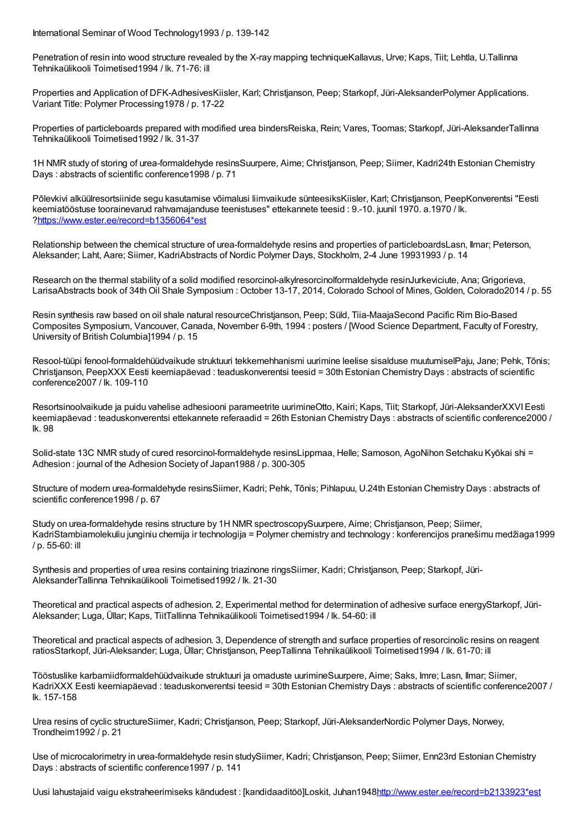International Seminar of Wood Technology1993 / p. 139-142

Penetration of resin into wood structure revealed by the X-ray mapping techniqueKallavus, Urve; Kaps, Tiit; Lehtla, U.Tallinna Tehnikaülikooli Toimetised1994 / lk. 71-76: ill

Properties and Application of DFK-AdhesivesKiisler, Karl; Christjanson, Peep; Starkopf, Jüri-AleksanderPolymer Applications. Variant Title: Polymer Processing1978 / p. 17-22

Properties of particleboards prepared with modified urea bindersReiska, Rein; Vares, Toomas; Starkopf, Jüri-AleksanderTallinna Tehnikaülikooli Toimetised1992 / lk. 31-37

1H NMR study of storing of urea-formaldehyde resinsSuurpere, Aime; Christjanson, Peep; Siimer, Kadri24th Estonian Chemistry Days : abstracts of scientific conference1998 / p. 71

Põlevkivi alküülresortsiinide segu kasutamise võimalusi liimvaikude sünteesiksKiisler, Karl; Christjanson, PeepKonverentsi "Eesti keemiatööstuse toorainevarud rahvamajanduse teenistuses" ettekannete teesid : 9.-10. juunil 1970. a.1970 / lk. [?https://www.ester.ee/record=b1356064\\*est](https://www.ester.ee/record=b1356064*est)

Relationship between the chemical structure of urea-formaldehyde resins and properties of particleboardsLasn, Ilmar; Peterson, Aleksander; Laht, Aare; Siimer, KadriAbstracts of Nordic Polymer Days, Stockholm, 2-4 June 19931993 / p. 14

Research on the thermal stability of a solid modified resorcinol-alkylresorcinolformaldehyde resinJurkeviciute, Ana; Grigorieva, LarisaAbstracts book of 34thOil Shale Symposium : October 13-17, 2014, Colorado School of Mines, Golden, Colorado2014 / p. 55

Resin synthesis raw based on oil shale natural resourceChristjanson, Peep; Süld, Tiia-MaajaSecond Pacific Rim Bio-Based Composites Symposium, Vancouver, Canada, November 6-9th, 1994 : posters / [Wood Science Department, Faculty of Forestry, University of British Columbia]1994 / p. 15

Resool-tüüpi fenool-formaldehüüdvaikude struktuuri tekkemehhanismi uurimine leelise sisalduse muutumiselPaju, Jane; Pehk, Tõnis; Christjanson, PeepXXX Eesti keemiapäevad : teaduskonverentsi teesid = 30th Estonian Chemistry Days : abstracts of scientific conference2007 / lk. 109-110

Resortsinoolvaikude ja puidu vahelise adhesiooni parameetrite uurimineOtto, Kairi; Kaps, Tiit; Starkopf, Jüri-AleksanderXXVIEesti keemiapäevad : teaduskonverentsi ettekannete referaadid = 26th Estonian Chemistry Days : abstracts of scientific conference2000 / lk. 98

Solid-state 13C NMR study of cured resorcinol-formaldehyde resinsLippmaa, Helle; Samoson, AgoNihon Setchaku Kyōkai shi = Adhesion : journal of the Adhesion Society of Japan1988 / p. 300-305

Structure of modern urea-formaldehyde resinsSiimer, Kadri; Pehk, Tõnis; Pihlapuu, U.24th Estonian Chemistry Days : abstracts of scientific conference1998 / p. 67

Study on urea-formaldehyde resins structure by 1H NMR spectroscopySuurpere, Aime; Christjanson, Peep; Siimer, KadriStambiamolekuliu junginiu chemija ir technologija = Polymer chemistry and technology : konferencijos pranešimu medžiaga1999 / p. 55-60: ill

Synthesis and properties of urea resins containing triazinone ringsSiimer, Kadri; Christjanson, Peep; Starkopf, Jüri-AleksanderTallinna Tehnikaülikooli Toimetised1992 / lk. 21-30

Theoretical and practical aspects of adhesion. 2, Experimental method for determination of adhesive surface energyStarkopf, Jüri-Aleksander; Luga, Üllar; Kaps, TiitTallinna Tehnikaülikooli Toimetised1994 / lk. 54-60: ill

Theoretical and practical aspects of adhesion. 3, Dependence of strength and surface properties of resorcinolic resins on reagent ratiosStarkopf, Jüri-Aleksander; Luga, Üllar; Christjanson, PeepTallinna Tehnikaülikooli Toimetised1994 / lk. 61-70: ill

Tööstuslike karbamiidformaldehüüdvaikude struktuuri ja omaduste uurimineSuurpere, Aime; Saks, Imre; Lasn, Ilmar; Siimer, KadriXXX Eesti keemiapäevad : teaduskonverentsi teesid = 30th Estonian Chemistry Days : abstracts of scientific conference2007 / lk. 157-158

Urea resins of cyclic structureSiimer, Kadri; Christjanson, Peep; Starkopf, Jüri-AleksanderNordic Polymer Days, Norwey, Trondheim1992 / p. 21

Use of microcalorimetry in urea-formaldehyde resin studySiimer, Kadri; Christjanson, Peep; Siimer, Enn23rd Estonian Chemistry Days : abstracts of scientific conference1997 / p. 141

Uusi lahustajaid vaigu ekstraheerimiseks kändudest : [kandidaaditöö]Loskit, Juhan194[8http://www.ester.ee/record=b2133923\\*est](http://www.ester.ee/record=b2133923*est)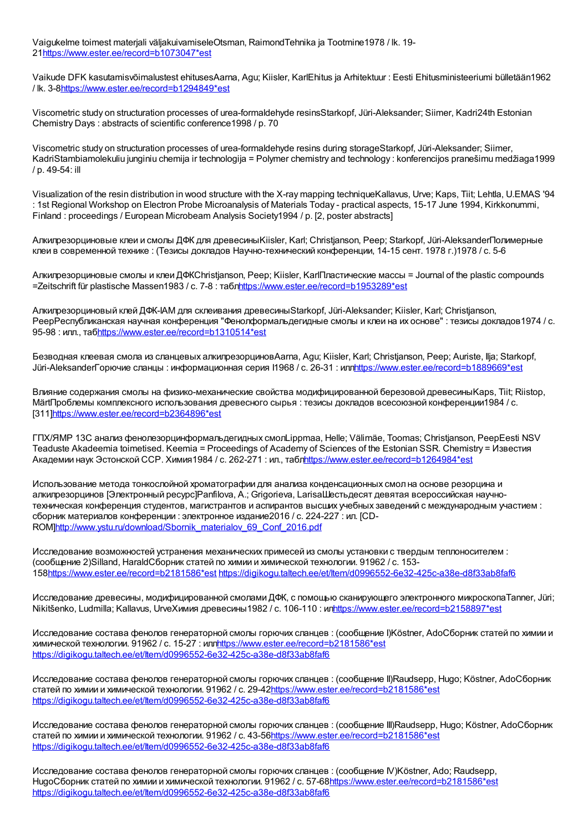Vaigukelme toimest materjali väljakuivamiseleOtsman, RaimondTehnika ja Tootmine1978 / lk. 19- 2[1https://www.ester.ee/record=b1073047\\*est](https://www.ester.ee/record=b1073047*est)

Vaikude DFK kasutamisvõimalustest ehitusesAarna, Agu; Kiisler, KarlEhitus ja Arhitektuur : Eesti Ehitusministeeriumi bülletään1962 / lk. 3-[8https://www.ester.ee/record=b1294849\\*est](https://www.ester.ee/record=b1294849*est)

Viscometric study on structuration processes of urea-formaldehyde resinsStarkopf, Jüri-Aleksander; Siimer, Kadri24th Estonian Chemistry Days : abstracts of scientific conference1998 / p. 70

Viscometric study on structuration processes of urea-formaldehyde resins during storageStarkopf, Jüri-Aleksander; Siimer, KadriStambiamolekuliu junginiu chemija ir technologija = Polymer chemistry and technology : konferencijos pranešimu medžiaga1999 / p. 49-54: ill

Visualization of the resin distribution in wood structure with the X-ray mapping techniqueKallavus, Urve; Kaps, Tiit; Lehtla, U.EMAS '94 : 1st Regional Workshop on Electron Probe Microanalysis of Materials Today - practical aspects, 15-17 June 1994, Kirkkonummi, Finland : proceedings / European Microbeam Analysis Society1994 / p. [2, poster abstracts]

Алкилрезорциновые клеи и смолы ДФК для древесиныKiisler, Karl; Christjanson, Peep; Starkopf, Jüri-AleksanderПолимерные клеи в современной технике : (Тезисы докладов Научно-технический конференции, 14-15 сент. 1978 г.)1978 / c. 5-6

Алкилрезорциновые смолы и клеи ДФКChristjanson, Peep; Kiisler, KarlПластические массы = Journal of the plastic compounds =Zeitschrift für plastische Massen1983 / с. 7-8 : таб[лhttps://www.ester.ee/record=b1953289\\*est](https://www.ester.ee/record=b1953289*est)

Алкилрезорциновый клей ДФК-IАМ для склеивания древесиныStarkopf, Jüri-Aleksander; Kiisler, Karl; Christjanson, PeepРеспубликанская научная конференция "Фенолформальдегидные смолы и клеи на их основе" : тезисы докладов1974 / с. 95-98 : илл., та[бhttps://www.ester.ee/record=b1310514\\*est](https://www.ester.ee/record=b1310514*est)

Безводная клеевая смола из сланцевых алкилрезорциновAarna, Agu; Kiisler, Karl; Christjanson, Peep; Auriste, Ilja; Starkopf, Jüri-AleksanderГорючие сланцы : информационная серия I1968 / с. 26-31 : ил[лhttps://www.ester.ee/record=b1889669\\*est](https://www.ester.ee/record=b1889669*est)

Влияние содержания смолы на физико-механические свойства модифицированной березовой древесиныKaps, Tiit; Riistop, MärtПроблемы комплексного использования древесного сырья : тезисы докладов всесоюзной конференции1984 / с. [311[\]https://www.ester.ee/record=b2364896\\*est](https://www.ester.ee/record=b2364896*est)

ГПХ/ЯМР 13C анализ фенолезорцинформальдегидных смолLippmaa, Helle; Välimäe, Toomas; Christjanson, PeepEesti NSV Teaduste Akadeemia toimetised. Keemia = Proceedings of Academy of Sciences of the Estonian SSR. Chemistry = Известия Академии наук Эстонской ССР. Химия 1984 / с. 262-271 : ил., таблито that prince and record=b1264984\*est

Использование метода тонкослойной хроматографии для анализа конденсационных смол на основе резорцина и алкилрезорцинов [Электронный ресурс]Panfilova, A.; Grigorieva, LarisaШестьдесят девятая всероссийская научнотехническая конференция студентов, магистрантов и аспирантов высших учебных заведений с международным участием : сборник материалов конференции : электронное издание2016 / с. 224-227 : ил. [CD-ROM[\]http://www.ystu.ru/download/Sbornik\\_materialov\\_69\\_Conf\\_2016.pdf](http://www.ystu.ru/download/Sbornik_materialov_69_Conf_2016.pdf)

Исследование возможностей устранения механических примесей из смолы установки с твердым теплоносителем : (сообщение 2)Silland, HaraldСборник статей по химии и химической технологии. 91962 / с. 153- 15[8https://www.ester.ee/record=b2181586\\*est](https://www.ester.ee/record=b2181586*est) <https://digikogu.taltech.ee/et/Item/d0996552-6e32-425c-a38e-d8f33ab8faf6>

Исследование древесины, модифицированной смолами ДФК, с помощью сканирующего электронного микроскопаTanner, Jüri; Nikitšenko, Ludmilla; Kallavus, UrveХимия древесины1982 / с. 106-110 : и[лhttps://www.ester.ee/record=b2158897\\*est](https://www.ester.ee/record=b2158897*est)

Исследование состава фенолов генераторной смолы горючих сланцев : (сообщение I)Köstner, AdoСборник статей по химии и химической технологии. 91962 / с. 15-27 : ил[лhttps://www.ester.ee/record=b2181586\\*est](https://www.ester.ee/record=b2181586*est) <https://digikogu.taltech.ee/et/Item/d0996552-6e32-425c-a38e-d8f33ab8faf6>

Исследование состава фенолов генераторной смолы горючих сланцев : (сообщение II)Raudsepp, Hugo; Köstner, AdoСборник статей по химии и химической технологии. 91962 / с. 29-4[2https://www.ester.ee/record=b2181586\\*est](https://www.ester.ee/record=b2181586*est) <https://digikogu.taltech.ee/et/Item/d0996552-6e32-425c-a38e-d8f33ab8faf6>

Исследование состава фенолов генераторной смолы горючих сланцев : (сообщение III)Raudsepp, Hugo; Köstner, AdoСборник статей по химии и химической технологии. 91962 / с. 43-5[6https://www.ester.ee/record=b2181586\\*est](https://www.ester.ee/record=b2181586*est) <https://digikogu.taltech.ee/et/Item/d0996552-6e32-425c-a38e-d8f33ab8faf6>

Исследование состава фенолов генераторной смолы горючих сланцев : (сообщение IV)Köstner, Ado; Raudsepp, HugoСборник статей по химии и химической технологии. 91962 / с. 57-6[8https://www.ester.ee/record=b2181586\\*est](https://www.ester.ee/record=b2181586*est) <https://digikogu.taltech.ee/et/Item/d0996552-6e32-425c-a38e-d8f33ab8faf6>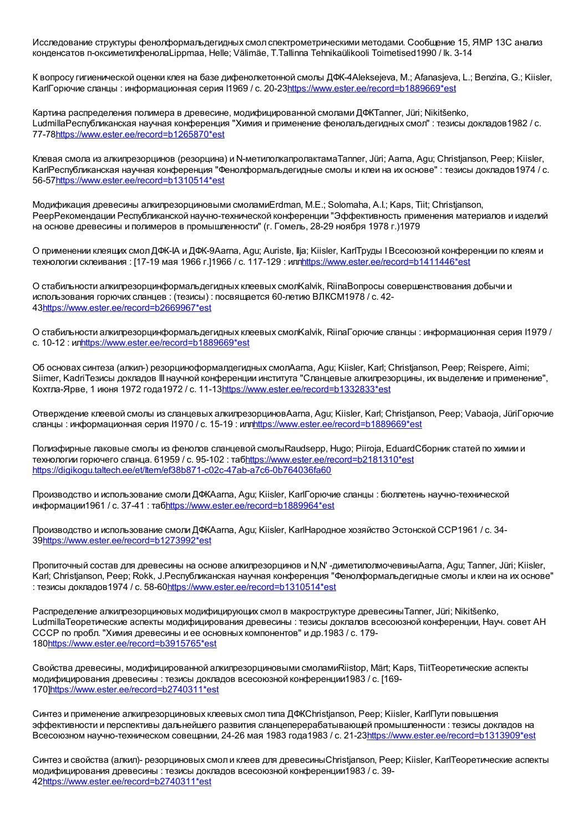Исследование структуры фенолформальдегидных смол спектрометрическими методами. Сообщение 15, ЯМР 13С анализ конденсатов п-оксиметилфенолаLippmaa, Helle; Välimäe, T.Tallinna Tehnikaülikooli Toimetised1990 / lk. 3-14

К вопросу гигиенической оценки клея на базе дифенолкетонной смолы ДФК-4Aleksejeva, M.; Afanasjeva, L.; Benzina, G.; Kiisler, KarlГорючие сланцы : информационная серия I1969 / с. 20-2[3https://www.ester.ee/record=b1889669\\*est](https://www.ester.ee/record=b1889669*est)

Картина распределения полимера в древесине, модифицированной смолами ДФКTanner, Jüri; Nikitšenko, LudmillaРеспубликанская научная конференция "Химия и применение фенолальдегидных смол" : тезисы докладов1982 / с. 77-7[8https://www.ester.ee/record=b1265870\\*est](https://www.ester.ee/record=b1265870*est)

Клевая смола из алкилрезорцинов (резорцина) и N-метилолкапролактамаTanner, Jüri; Aarna, Agu; Christjanson, Peep; Kiisler, KarlРеспубликанская научная конференция "Фенолформальдегидные смолы и клеи на их основе" : тезисы докладов1974 / с. 56-5[7https://www.ester.ee/record=b1310514\\*est](https://www.ester.ee/record=b1310514*est)

Модификация древесины алкилрезорциновыми смоламиErdman, M.E.; Solomaha, A.I.; Kaps, Tiit; Christjanson, PeepРекомендации Республиканской научно-технической конференции "Эффективность применения материалов и изделий на основе древесины и полимеров в промышленности" (г. Гомель, 28-29 ноября 1978 г.)1979

О применении клеящих смолДФК-IА и ДФК-9Aarna, Agu; Auriste, Ilja; Kiisler, KarlТруды IВсесоюзной конференции по клеям и технологии склеивания : [17-19 мая 1966 г.]1966 / с. 117-129 : ил[лhttps://www.ester.ee/record=b1411446\\*est](https://www.ester.ee/record=b1411446*est)

О стабильности алкилрезорцинформальдегидных клеевых смолKalvik, RiinaВопросы совершенствования добычи и использования горючих сланцев : (тезисы) : посвящается 60-летию ВЛКСМ1978 / с. 42- 4[3https://www.ester.ee/record=b2669967\\*est](https://www.ester.ee/record=b2669967*est)

О стабильности алкилрезорцинформальдегидных клеевых смолKalvik, RiinaГорючие сланцы : информационная серия I1979 / с. 10-12 : и[лhttps://www.ester.ee/record=b1889669\\*est](https://www.ester.ee/record=b1889669*est)

Об основах синтеза (алкил-) резорциноформалдегидных смолAarna, Agu; Kiisler, Karl; Christjanson, Peep; Reispere, Aimi; Siimer, KadriТезисы докладов III научной конференции института "Сланцевые алкилрезорцины, их выделение и применение", Кохтла-Ярве, 1 июня 1972 года1972 / с. 11-1[3https://www.ester.ee/record=b1332833\\*est](https://www.ester.ee/record=b1332833*est)

Отверждение клеевой смолы из сланцевых алкилрезорциновAarna, Agu; Kiisler, Karl; Christjanson, Peep; Vabaoja, JüriГорючие сланцы : информационная серия I1970 / с. 15-19 : ил[лhttps://www.ester.ee/record=b1889669\\*est](https://www.ester.ee/record=b1889669*est)

Полиэфирные лаковые смолы из фенолов сланцевой смолыRaudsepp, Hugo; Piiroja, EduardСборник статей по химии и технологии горючего сланца. 61959 / с. 95-102 : та[бhttps://www.ester.ee/record=b2181310\\*est](https://www.ester.ee/record=b2181310*est) <https://digikogu.taltech.ee/et/Item/ef38b871-c02c-47ab-a7c6-0b764036fa60>

Производство и использование смоли ДФКAarna, Agu; Kiisler, KarlГорючие сланцы : бюллетень научно-технической информации1961 / с. 37-41 : та[бhttps://www.ester.ee/record=b1889964\\*est](https://www.ester.ee/record=b1889964*est)

Производство и использование смоли ДФКAarna, Agu; Kiisler, KarlНародное хозяйство Эстонской ССР1961 / с. 34- 3[9https://www.ester.ee/record=b1273992\\*est](https://www.ester.ee/record=b1273992*est)

Пропиточный состав для древесины на основе алкилрезорцинов и N,N' -диметилолмочевиныAarna, Agu; Tanner, Jüri; Kiisler, Karl; Christjanson, Peep; Rokk, J.Республиканская научная конференция "Фенолформальдегидные смолы и клеи на их основе" : тезисы докладов1974 / с. 58-6[0https://www.ester.ee/record=b1310514\\*est](https://www.ester.ee/record=b1310514*est)

Распределение алкилрезорциновых модифицирующих смол в макроструктуре древесиныTanner, Jüri; Nikitšenko, LudmillaТеоретические аспекты модифицирования древесины : тезисы доклалов всесоюзной конференции, Науч. совет АН СССР по пробл. "Химия древесины и ее основных компонентов" и др.1983 / с. 179- 18[0https://www.ester.ee/record=b3915765\\*est](https://www.ester.ee/record=b3915765*est)

Свойства древесины, модифицированной алкилрезорциновыми смоламиRiistop, Märt; Kaps, TiitТеоретические аспекты модифицирования древесины : тезисы докладов всесоюзной конференции1983 / с. [169- 170[\]https://www.ester.ee/record=b2740311\\*est](https://www.ester.ee/record=b2740311*est)

Синтез и применение алкилрезорциновых клеевых смол типа ДФКChristjanson, Peep; Kiisler, KarlПути повышения эффективности и перспективы дальнейшего развития сланцеперерабатывающей промышленности : тезисы докладов на Всесоюзном научно-техническом совещании, 24-26 мая 1983 года1983 / с. 21-2[3https://www.ester.ee/record=b1313909\\*est](https://www.ester.ee/record=b1313909*est)

Синтез и свойства (алкил)- резорциновых смол и клеев для древесиныChristjanson, Peep; Kiisler, KarlТеоретические аспекты модифицирования древесины : тезисы докладов всесоюзной конференции1983 / с. 39- 4[2https://www.ester.ee/record=b2740311\\*est](https://www.ester.ee/record=b2740311*est)